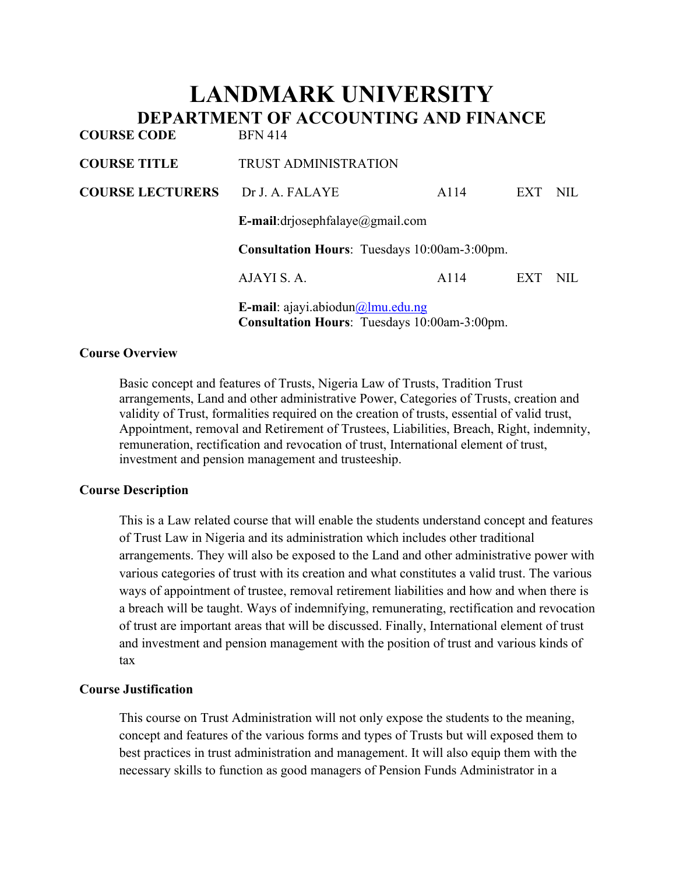# **LANDMARK UNIVERSITY DEPARTMENT OF ACCOUNTING AND FINANCE COURSE CODE**

| CUURSE CUDE             | <b>DEIN 414</b>                                                                                          |      |     |      |
|-------------------------|----------------------------------------------------------------------------------------------------------|------|-----|------|
| <b>COURSE TITLE</b>     | <b>TRUST ADMINISTRATION</b>                                                                              |      |     |      |
| <b>COURSE LECTURERS</b> | Dr J. A. FALAYE                                                                                          | A114 | EXT | NIL. |
|                         | E-mail:drjosephfalaye@gmail.com                                                                          |      |     |      |
|                         | <b>Consultation Hours:</b> Tuesdays 10:00am-3:00pm.                                                      |      |     |      |
|                         | AJAYI S. A.                                                                                              | A114 | EXT | NIL  |
|                         | <b>E-mail</b> : ajayi.abiodun $\omega$ lmu.edu.ng<br><b>Consultation Hours:</b> Tuesdays 10:00am-3:00pm. |      |     |      |

### **Course Overview**

Basic concept and features of Trusts, Nigeria Law of Trusts, Tradition Trust arrangements, Land and other administrative Power, Categories of Trusts, creation and validity of Trust, formalities required on the creation of trusts, essential of valid trust, Appointment, removal and Retirement of Trustees, Liabilities, Breach, Right, indemnity, remuneration, rectification and revocation of trust, International element of trust, investment and pension management and trusteeship.

### **Course Description**

This is a Law related course that will enable the students understand concept and features of Trust Law in Nigeria and its administration which includes other traditional arrangements. They will also be exposed to the Land and other administrative power with various categories of trust with its creation and what constitutes a valid trust. The various ways of appointment of trustee, removal retirement liabilities and how and when there is a breach will be taught. Ways of indemnifying, remunerating, rectification and revocation of trust are important areas that will be discussed. Finally, International element of trust and investment and pension management with the position of trust and various kinds of tax

### **Course Justification**

This course on Trust Administration will not only expose the students to the meaning, concept and features of the various forms and types of Trusts but will exposed them to best practices in trust administration and management. It will also equip them with the necessary skills to function as good managers of Pension Funds Administrator in a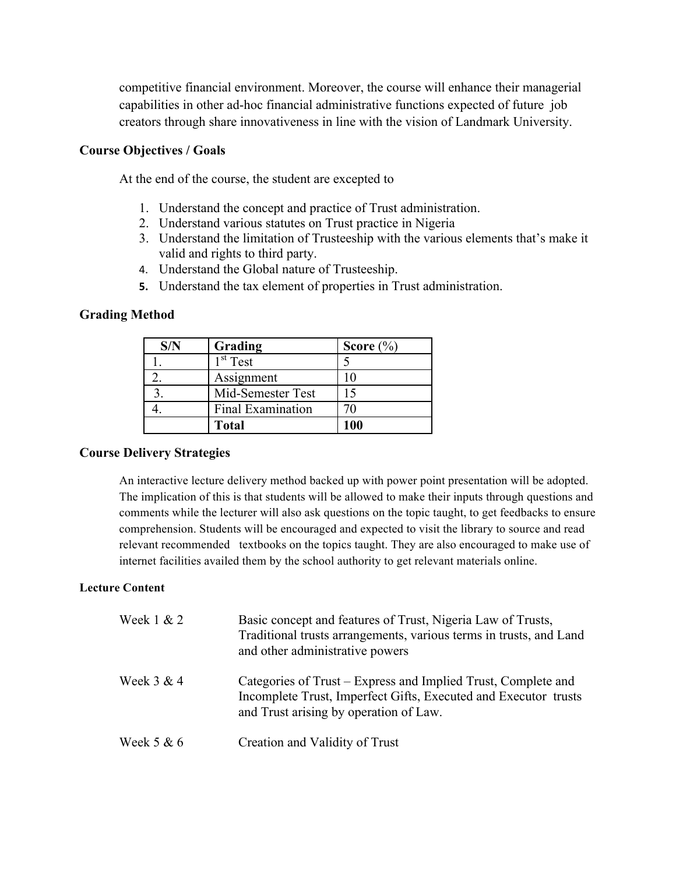competitive financial environment. Moreover, the course will enhance their managerial capabilities in other ad-hoc financial administrative functions expected of future job creators through share innovativeness in line with the vision of Landmark University.

#### **Course Objectives / Goals**

At the end of the course, the student are excepted to

- 1. Understand the concept and practice of Trust administration.
- 2. Understand various statutes on Trust practice in Nigeria
- 3. Understand the limitation of Trusteeship with the various elements that's make it valid and rights to third party.
- 4. Understand the Global nature of Trusteeship.
- **5.** Understand the tax element of properties in Trust administration.

#### **Grading Method**

| Grading              | Score $(\% )$ |
|----------------------|---------------|
| 1 <sup>st</sup> Test |               |
| Assignment           |               |
| Mid-Semester Test    | 15            |
| Final Examination    | 70            |
| <b>Total</b>         | 100           |

### **Course Delivery Strategies**

An interactive lecture delivery method backed up with power point presentation will be adopted. The implication of this is that students will be allowed to make their inputs through questions and comments while the lecturer will also ask questions on the topic taught, to get feedbacks to ensure comprehension. Students will be encouraged and expected to visit the library to source and read relevant recommended textbooks on the topics taught. They are also encouraged to make use of internet facilities availed them by the school authority to get relevant materials online.

#### **Lecture Content**

| Week $1 & 2$ | Basic concept and features of Trust, Nigeria Law of Trusts,<br>Traditional trusts arrangements, various terms in trusts, and Land<br>and other administrative powers       |
|--------------|----------------------------------------------------------------------------------------------------------------------------------------------------------------------------|
| Week $3 & 4$ | Categories of Trust – Express and Implied Trust, Complete and<br>Incomplete Trust, Imperfect Gifts, Executed and Executor trusts<br>and Trust arising by operation of Law. |
| Week $5 & 6$ | Creation and Validity of Trust                                                                                                                                             |